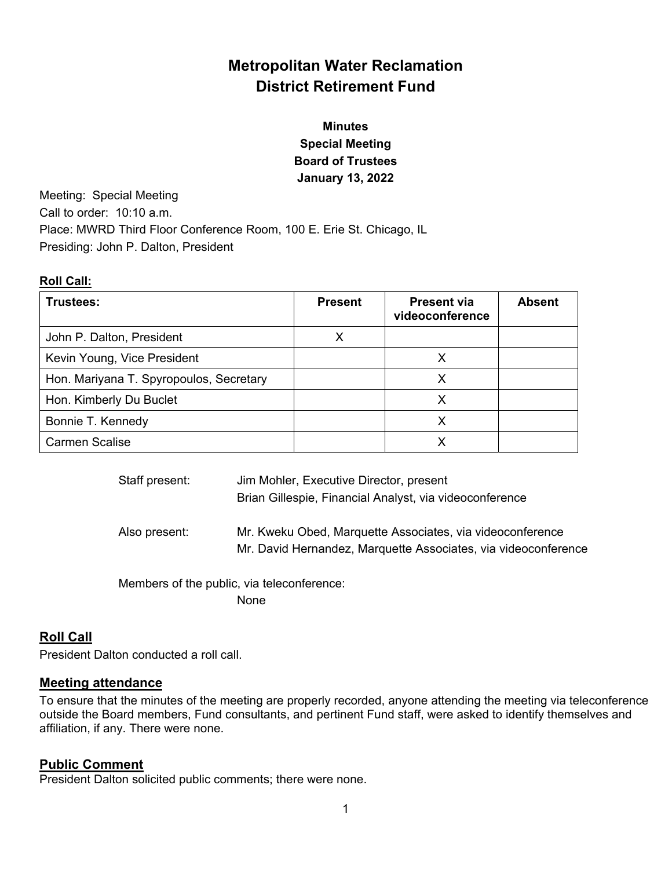# **Metropolitan Water Reclamation District Retirement Fund**

# **Minutes Special Meeting Board of Trustees January 13, 2022**

Meeting: Special Meeting Call to order: 10:10 a.m. Place: MWRD Third Floor Conference Room, 100 E. Erie St. Chicago, IL Presiding: John P. Dalton, President

#### **Roll Call:**

| Trustees:                               | <b>Present</b> | <b>Present via</b><br>videoconference | <b>Absent</b> |
|-----------------------------------------|----------------|---------------------------------------|---------------|
| John P. Dalton, President               | x              |                                       |               |
| Kevin Young, Vice President             |                | х                                     |               |
| Hon. Mariyana T. Spyropoulos, Secretary |                | X                                     |               |
| Hon. Kimberly Du Buclet                 |                | Х                                     |               |
| Bonnie T. Kennedy                       |                |                                       |               |
| <b>Carmen Scalise</b>                   |                |                                       |               |

| Staff present: | Jim Mohler, Executive Director, present<br>Brian Gillespie, Financial Analyst, via videoconference                          |
|----------------|-----------------------------------------------------------------------------------------------------------------------------|
| Also present:  | Mr. Kweku Obed, Marquette Associates, via videoconference<br>Mr. David Hernandez, Marquette Associates, via videoconference |

 Members of the public, via teleconference: None

## **Roll Call**

President Dalton conducted a roll call.

### **Meeting attendance**

To ensure that the minutes of the meeting are properly recorded, anyone attending the meeting via teleconference outside the Board members, Fund consultants, and pertinent Fund staff, were asked to identify themselves and affiliation, if any. There were none.

### **Public Comment**

President Dalton solicited public comments; there were none.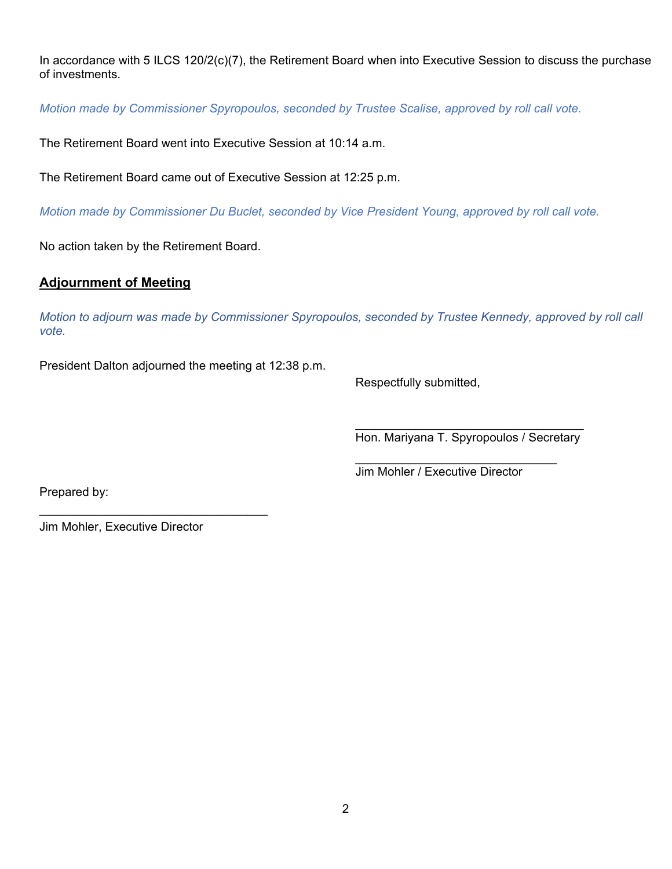In accordance with 5 ILCS 120/2(c)(7), the Retirement Board when into Executive Session to discuss the purchase of investments.

*Motion made by Commissioner Spyropoulos, seconded by Trustee Scalise, approved by roll call vote.* 

The Retirement Board went into Executive Session at 10:14 a.m.

The Retirement Board came out of Executive Session at 12:25 p.m.

*Motion made by Commissioner Du Buclet, seconded by Vice President Young, approved by roll call vote.* 

No action taken by the Retirement Board.

#### **Adjournment of Meeting**

*Motion to adjourn was made by Commissioner Spyropoulos, seconded by Trustee Kennedy, approved by roll call vote.* 

 $\mathcal{L}_\text{max}$  and  $\mathcal{L}_\text{max}$  and  $\mathcal{L}_\text{max}$  and  $\mathcal{L}_\text{max}$  and  $\mathcal{L}_\text{max}$  and  $\mathcal{L}_\text{max}$ 

President Dalton adjourned the meeting at 12:38 p.m.

Respectfully submitted,

Hon. Mariyana T. Spyropoulos / Secretary

Jim Mohler / Executive Director

Prepared by:

Jim Mohler, Executive Director

 $\mathcal{L}_\text{max}$  , where  $\mathcal{L}_\text{max}$  and  $\mathcal{L}_\text{max}$  and  $\mathcal{L}_\text{max}$